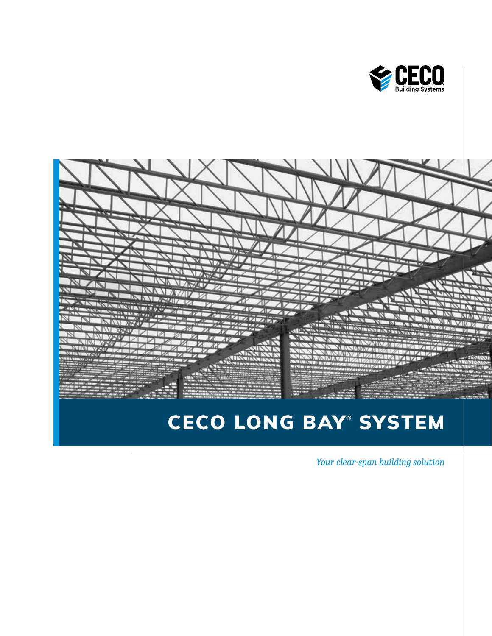



# CECO LONG BAY® SYSTEM

*Your clear-span building solution*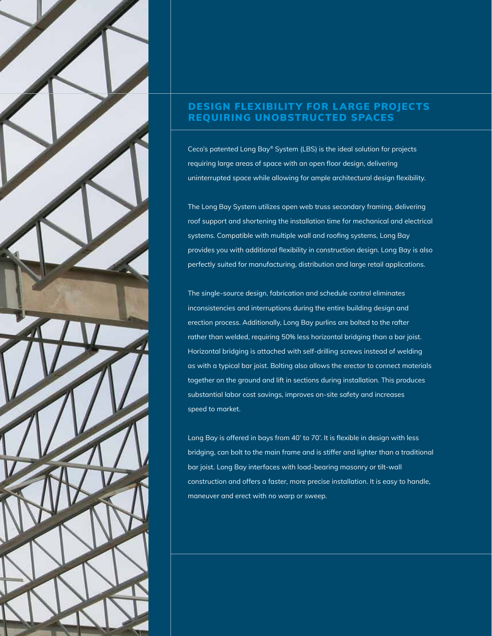

## DESIGN FLEXIBILITY FOR LARGE PROJECTS REQUIRING UNOBSTRUCTED SPACES

Ceco's patented Long Bay® System (LBS) is the ideal solution for projects requiring large areas of space with an open floor design, delivering uninterrupted space while allowing for ample architectural design flexibility.

The Long Bay System utilizes open web truss secondary framing, delivering roof support and shortening the installation time for mechanical and electrical systems. Compatible with multiple wall and roofing systems, Long Bay provides you with additional flexibility in construction design. Long Bay is also perfectly suited for manufacturing, distribution and large retail applications.

The single-source design, fabrication and schedule control eliminates inconsistencies and interruptions during the entire building design and erection process. Additionally, Long Bay purlins are bolted to the rafter rather than welded, requiring 50% less horizontal bridging than a bar joist. Horizontal bridging is attached with self-drilling screws instead of welding as with a typical bar joist. Bolting also allows the erector to connect materials together on the ground and lift in sections during installation. This produces substantial labor cost savings, improves on-site safety and increases speed to market.

Long Bay is offered in bays from 40' to 70'. It is flexible in design with less bridging, can bolt to the main frame and is stiffer and lighter than a traditional bar joist. Long Bay interfaces with load-bearing masonry or tilt-wall construction and offers a faster, more precise installation. It is easy to handle, maneuver and erect with no warp or sweep.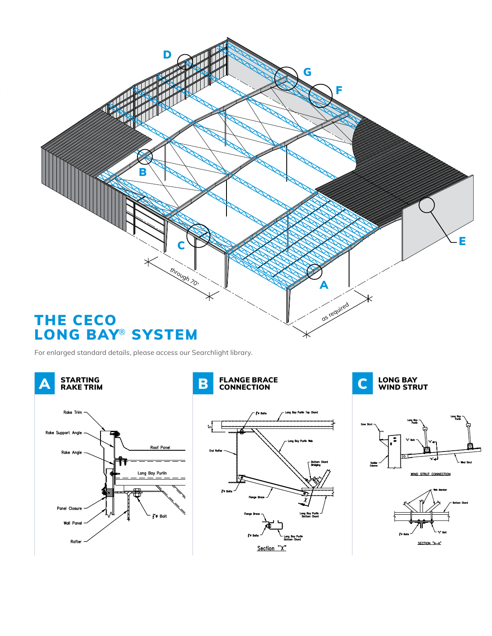

For enlarged standard details, please access our Searchlight library.

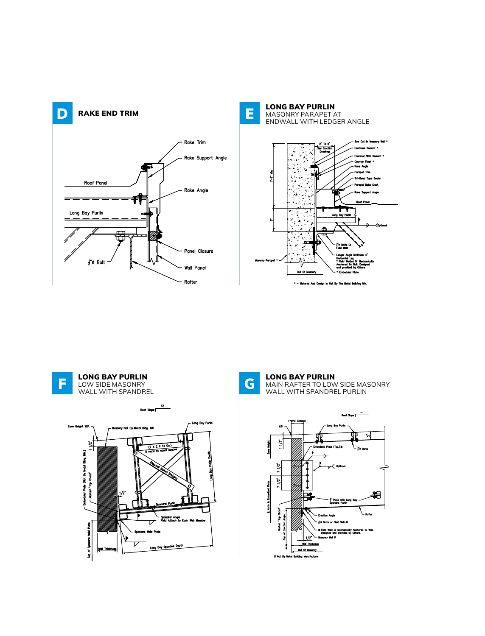





LONG BAY PURLIN MAIN RAFTER TO LOW SIDE MASONRY WALL WITH SPANDREL PURLIN

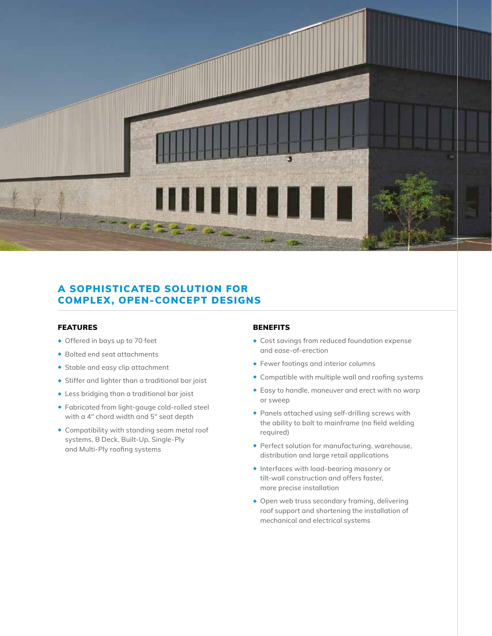

## A SOPHISTICATED SOLUTION FOR COMPLEX, OPEN-CONCEPT DESIGNS

#### FEATURES

- ◆ Offered in bays up to 70 feet
- ◆ Bolted end seat attachments
- ◆ Stable and easy clip attachment
- ◆ Stiffer and lighter than a traditional bar joist
- ◆ Less bridging than a traditional bar joist
- ◆ Fabricated from light-gauge cold-rolled steel with a 4" chord width and 5" seat depth
- ◆ Compatibility with standing seam metal roof systems, B Deck, Built-Up, Single-Ply and Multi-Ply roofing systems

#### **BENEFITS**

- ◆ Cost savings from reduced foundation expense and ease-of-erection
- ◆ Fewer footings and interior columns
- ◆ Compatible with multiple wall and roofing systems
- ◆ Easy to handle, maneuver and erect with no warp or sweep
- ◆ Panels attached using self-drilling screws with the ability to bolt to mainframe (no field welding required)
- ◆ Perfect solution for manufacturing, warehouse, distribution and large retail applications
- ◆ Interfaces with load-bearing masonry or tilt-wall construction and offers faster, more precise installation
- ◆ Open web truss secondary framing, delivering roof support and shortening the installation of mechanical and electrical systems